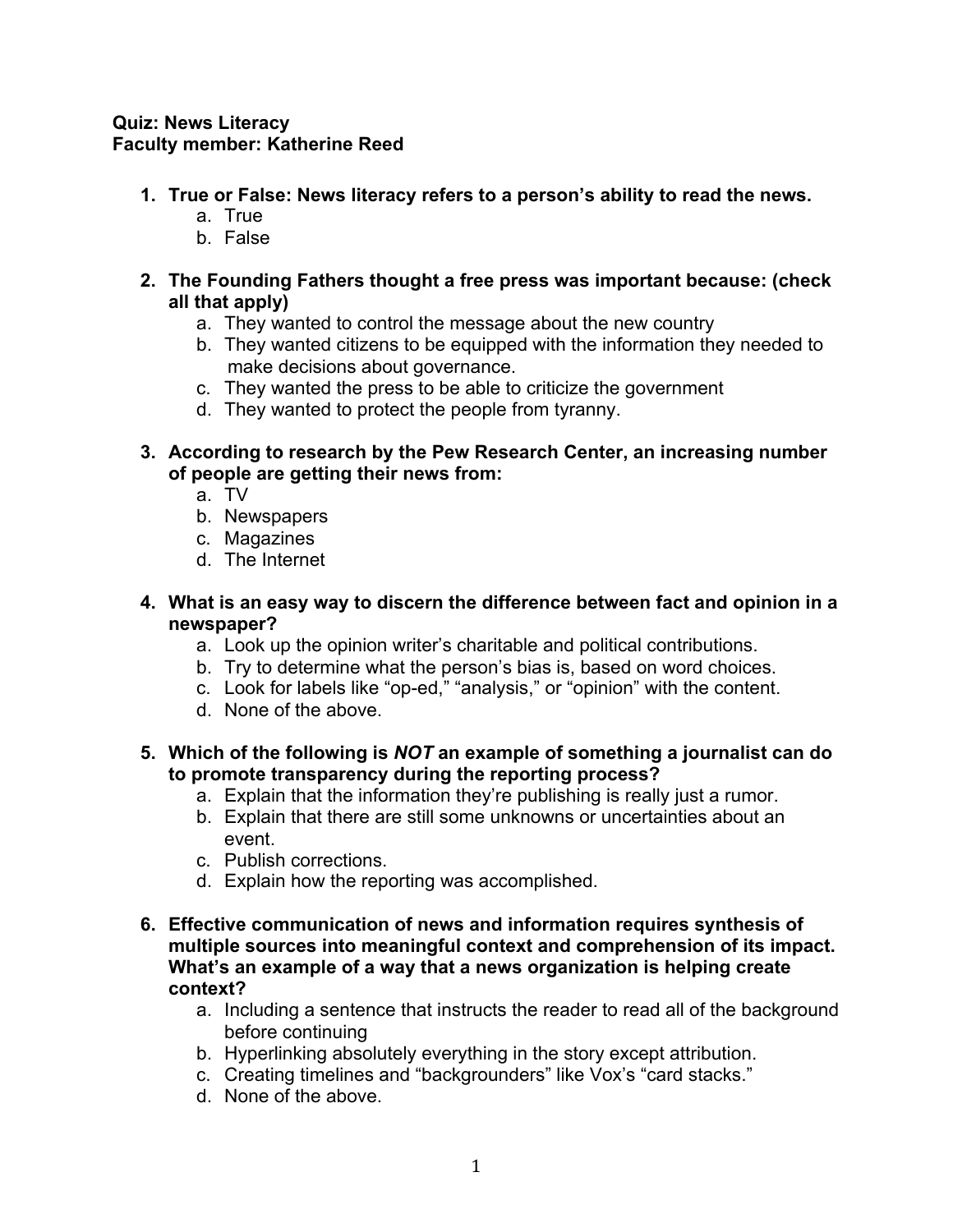## **Quiz: News Literacy Faculty member: Katherine Reed**

- **1. True or False: News literacy refers to a person's ability to read the news.**
	- a. True
	- b. False
- **2. The Founding Fathers thought a free press was important because: (check all that apply)**
	- a. They wanted to control the message about the new country
	- b. They wanted citizens to be equipped with the information they needed to make decisions about governance.
	- c. They wanted the press to be able to criticize the government
	- d. They wanted to protect the people from tyranny.
- **3. According to research by the Pew Research Center, an increasing number of people are getting their news from:**
	- a. TV
	- b. Newspapers
	- c. Magazines
	- d. The Internet
- **4. What is an easy way to discern the difference between fact and opinion in a newspaper?**
	- a. Look up the opinion writer's charitable and political contributions.
	- b. Try to determine what the person's bias is, based on word choices.
	- c. Look for labels like "op-ed," "analysis," or "opinion" with the content.
	- d. None of the above.
- **5. Which of the following is** *NOT* **an example of something a journalist can do to promote transparency during the reporting process?**
	- a. Explain that the information they're publishing is really just a rumor.
	- b. Explain that there are still some unknowns or uncertainties about an event.
	- c. Publish corrections.
	- d. Explain how the reporting was accomplished.
- **6. Effective communication of news and information requires synthesis of multiple sources into meaningful context and comprehension of its impact. What's an example of a way that a news organization is helping create context?**
	- a. Including a sentence that instructs the reader to read all of the background before continuing
	- b. Hyperlinking absolutely everything in the story except attribution.
	- c. Creating timelines and "backgrounders" like Vox's "card stacks."
	- d. None of the above.